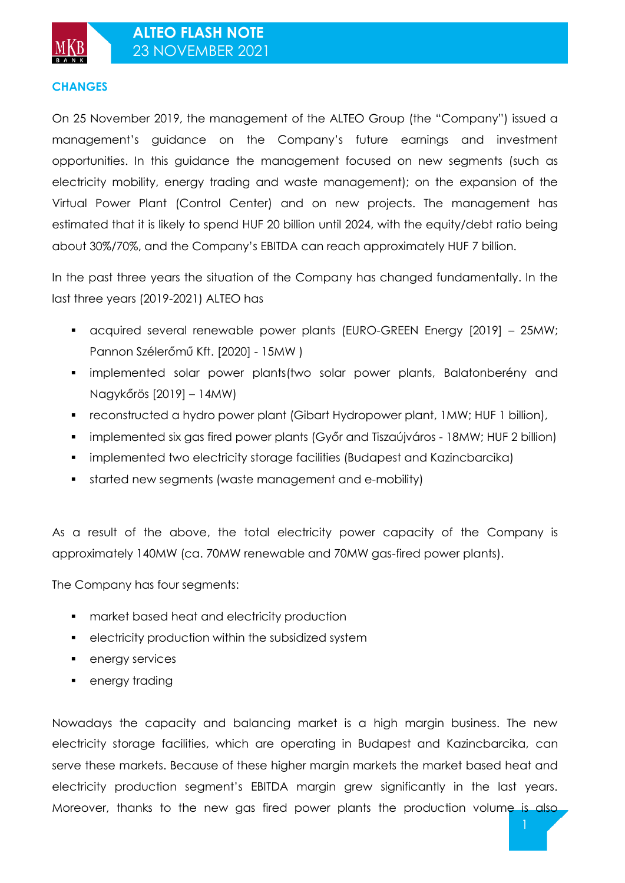### **CHANGES**

On 25 November 2019, the management of the ALTEO Group (the "Company") issued a management's guidance on the Company's future earnings and investment opportunities. In this guidance the management focused on new segments (such as electricity mobility, energy trading and waste management); on the expansion of the Virtual Power Plant (Control Center) and on new projects. The management has estimated that it is likely to spend HUF 20 billion until 2024, with the equity/debt ratio being about 30%/70%, and the Company's EBITDA can reach approximately HUF 7 billion.

In the past three years the situation of the Company has changed fundamentally. In the last three years (2019-2021) ALTEO has

- acquired several renewable power plants (EURO-GREEN Energy [2019] 25MW; Pannon Szélerőmű Kft. [2020] - 15MW )
- implemented solar power plants(two solar power plants, Balatonberény and Nagykőrös [2019] – 14MW)
- reconstructed a hydro power plant (Gibart Hydropower plant, 1MW; HUF 1 billion),
- implemented six gas fired power plants (Győr and Tiszaújváros 18MW; HUF 2 billion)
- implemented two electricity storage facilities (Budapest and Kazincbarcika)
- started new segments (waste management and e-mobility)

As a result of the above, the total electricity power capacity of the Company is approximately 140MW (ca. 70MW renewable and 70MW gas-fired power plants).

The Company has four segments:

- **•** market based heat and electricity production
- electricity production within the subsidized system
- **energy services**
- energy trading

Nowadays the capacity and balancing market is a high margin business. The new electricity storage facilities, which are operating in Budapest and Kazincbarcika, can serve these markets. Because of these higher margin markets the market based heat and electricity production segment's EBITDA margin grew significantly in the last years. Moreover, thanks to the new gas fired power plants the production volume is also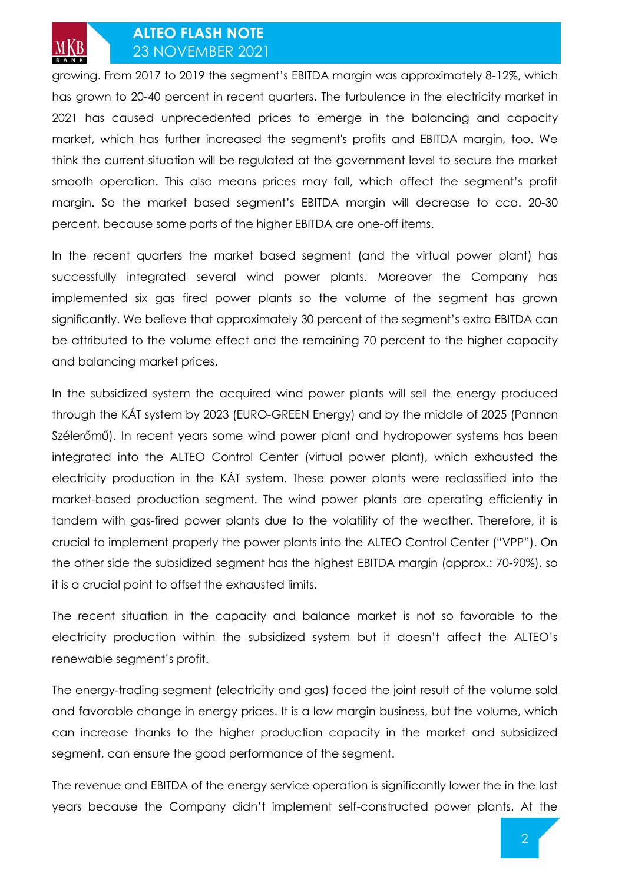

growing. From 2017 to 2019 the segment's EBITDA margin was approximately 8-12%, which has grown to 20-40 percent in recent quarters. The turbulence in the electricity market in 2021 has caused unprecedented prices to emerge in the balancing and capacity market, which has further increased the segment's profits and EBITDA margin, too. We think the current situation will be regulated at the government level to secure the market smooth operation. This also means prices may fall, which affect the segment's profit margin. So the market based segment's EBITDA margin will decrease to cca. 20-30 percent, because some parts of the higher EBITDA are one-off items.

In the recent quarters the market based segment (and the virtual power plant) has successfully integrated several wind power plants. Moreover the Company has implemented six gas fired power plants so the volume of the segment has grown significantly. We believe that approximately 30 percent of the segment's extra EBITDA can be attributed to the volume effect and the remaining 70 percent to the higher capacity and balancing market prices.

In the subsidized system the acquired wind power plants will sell the energy produced through the KÁT system by 2023 (EURO-GREEN Energy) and by the middle of 2025 (Pannon Szélerőmű). In recent years some wind power plant and hydropower systems has been integrated into the ALTEO Control Center (virtual power plant), which exhausted the electricity production in the KÁT system. These power plants were reclassified into the market-based production segment. The wind power plants are operating efficiently in tandem with gas-fired power plants due to the volatility of the weather. Therefore, it is crucial to implement properly the power plants into the ALTEO Control Center ("VPP"). On the other side the subsidized segment has the highest EBITDA margin (approx.: 70-90%), so it is a crucial point to offset the exhausted limits.

The recent situation in the capacity and balance market is not so favorable to the electricity production within the subsidized system but it doesn't affect the ALTEO's renewable segment's profit.

The energy-trading segment (electricity and gas) faced the joint result of the volume sold and favorable change in energy prices. It is a low margin business, but the volume, which can increase thanks to the higher production capacity in the market and subsidized segment, can ensure the good performance of the segment.

The revenue and EBITDA of the energy service operation is significantly lower the in the last years because the Company didn't implement self-constructed power plants. At the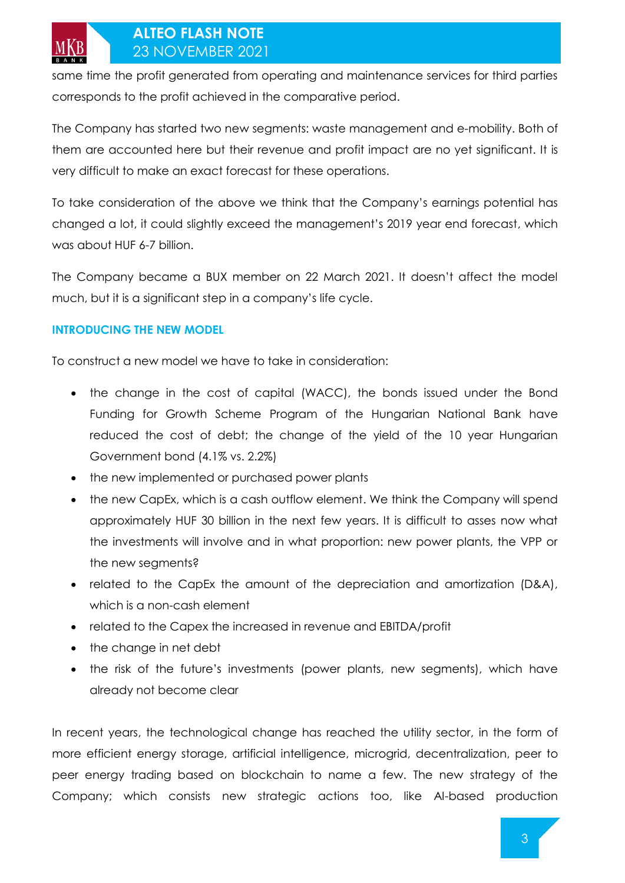same time the profit generated from operating and maintenance services for third parties corresponds to the profit achieved in the comparative period.

The Company has started two new segments: waste management and e-mobility. Both of them are accounted here but their revenue and profit impact are no yet significant. It is very difficult to make an exact forecast for these operations.

To take consideration of the above we think that the Company's earnings potential has changed a lot, it could slightly exceed the management's 2019 year end forecast, which was about HUF 6-7 billion.

The Company became a BUX member on 22 March 2021. It doesn't affect the model much, but it is a significant step in a company's life cycle.

### **INTRODUCING THE NEW MODEL**

To construct a new model we have to take in consideration:

- the change in the cost of capital (WACC), the bonds issued under the Bond Funding for Growth Scheme Program of the Hungarian National Bank have reduced the cost of debt; the change of the yield of the 10 year Hungarian Government bond (4.1% vs. 2.2%)
- the new implemented or purchased power plants
- the new CapEx, which is a cash outflow element. We think the Company will spend approximately HUF 30 billion in the next few years. It is difficult to asses now what the investments will involve and in what proportion: new power plants, the VPP or the new segments?
- related to the CapEx the amount of the depreciation and amortization (D&A), which is a non-cash element
- related to the Capex the increased in revenue and EBITDA/profit
- the change in net debt
- the risk of the future's investments (power plants, new segments), which have already not become clear

In recent years, the technological change has reached the utility sector, in the form of more efficient energy storage, artificial intelligence, microgrid, decentralization, peer to peer energy trading based on blockchain to name a few. The new strategy of the Company; which consists new strategic actions too, like AI-based production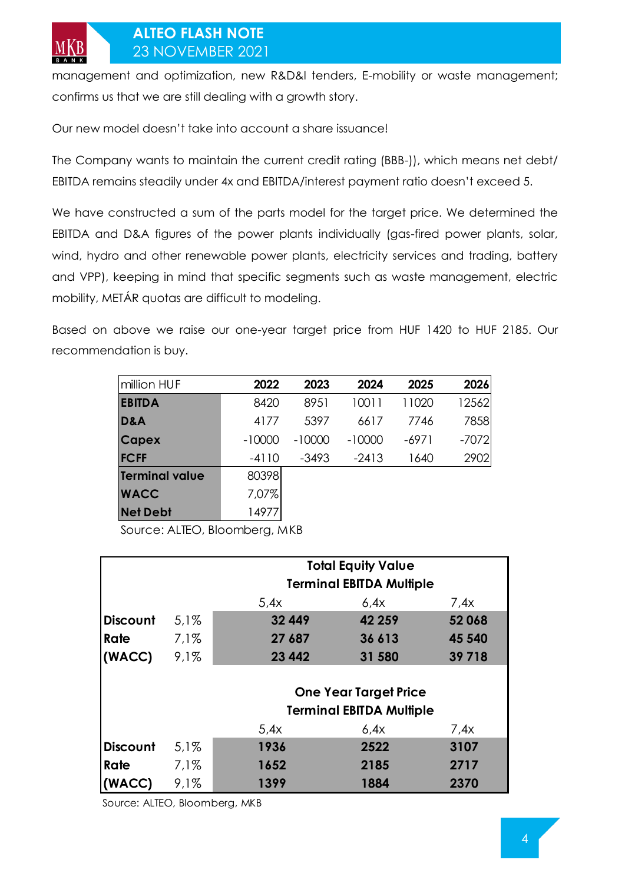management and optimization, new R&D&I tenders, E-mobility or waste management; confirms us that we are still dealing with a growth story.

Our new model doesn't take into account a share issuance!

The Company wants to maintain the current credit rating (BBB-)), which means net debt/ EBITDA remains steadily under 4x and EBITDA/interest payment ratio doesn't exceed 5.

We have constructed a sum of the parts model for the target price. We determined the EBITDA and D&A figures of the power plants individually (gas-fired power plants, solar, wind, hydro and other renewable power plants, electricity services and trading, battery and VPP), keeping in mind that specific segments such as waste management, electric mobility, METÁR quotas are difficult to modeling.

Based on above we raise our one-year target price from HUF 1420 to HUF 2185. Our recommendation is buy.

| million HUF           | 2022     | 2023     | 2024     | 2025    | 2026    |
|-----------------------|----------|----------|----------|---------|---------|
| <b>EBITDA</b>         | 8420     | 8951     | 10011    | 11020   | 12562   |
| D&A                   | 4177     | 5397     | 6617     | 7746    | 7858    |
| <b>Capex</b>          | $-10000$ | $-10000$ | $-10000$ | $-6971$ | $-7072$ |
| <b>FCFF</b>           | $-4110$  | -3493    | $-2413$  | 1640    | 2902    |
| <b>Terminal value</b> | 80398    |          |          |         |         |
| <b>WACC</b>           | 7,07%    |          |          |         |         |
| <b>Net Debt</b>       | 14977    |          |          |         |         |

Source: ALTEO, Bloomberg, MKB

|                 |         |                                 | <b>Total Equity Value</b> |         |  |  |  |
|-----------------|---------|---------------------------------|---------------------------|---------|--|--|--|
|                 |         | <b>Terminal EBITDA Multiple</b> |                           |         |  |  |  |
|                 |         | 5.4x                            | 6.4x                      | 7.4x    |  |  |  |
| <b>Discount</b> | $5.1\%$ | 32 449                          | 42 259                    | 52068   |  |  |  |
| Rate            | $7.1\%$ | 27 687                          | 36 613                    | 45 540  |  |  |  |
| (WACC)          | 9.1%    | 23 4 42                         | 31 580                    | 39 7 18 |  |  |  |
|                 |         |                                 |                           |         |  |  |  |
|                 |         | <b>One Year Target Price</b>    |                           |         |  |  |  |
|                 |         | <b>Terminal EBITDA Multiple</b> |                           |         |  |  |  |
|                 |         | 5.4x                            | 6.4x                      | 7.4x    |  |  |  |
| <b>Discount</b> | $5.1\%$ | 1936                            | 2522                      | 3107    |  |  |  |
| Rate            | 7.1%    | 1652                            | 2185                      | 2717    |  |  |  |
| (WACC)          | 9,1%    | 1399                            | 1884                      | 2370    |  |  |  |

Source: ALTEO, Bloomberg, MKB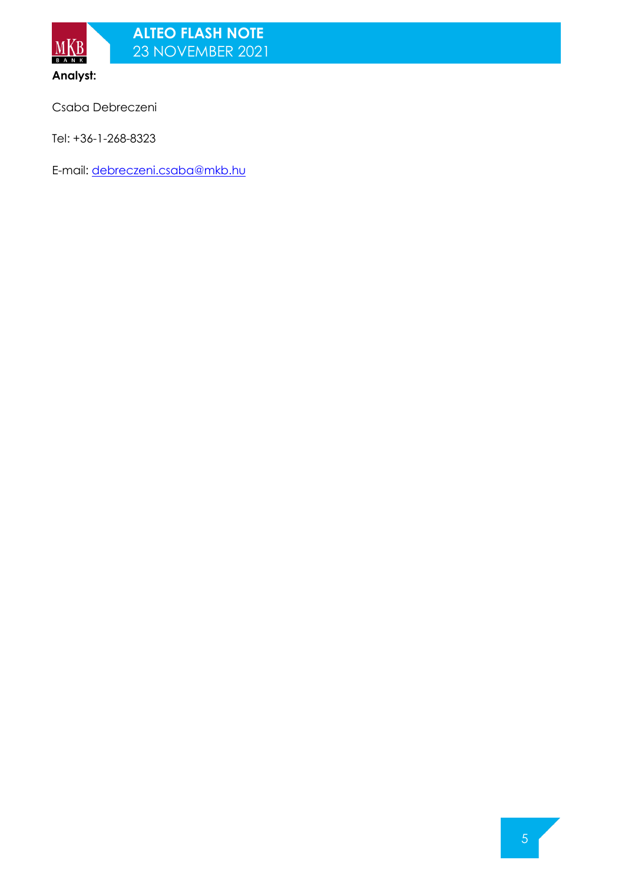

**Analyst:**

Csaba Debreczeni

Tel: +36-1-268-8323

E-mail: [debreczeni.csaba@mkb.hu](mailto:debreczeni.csaba@mkb.hu)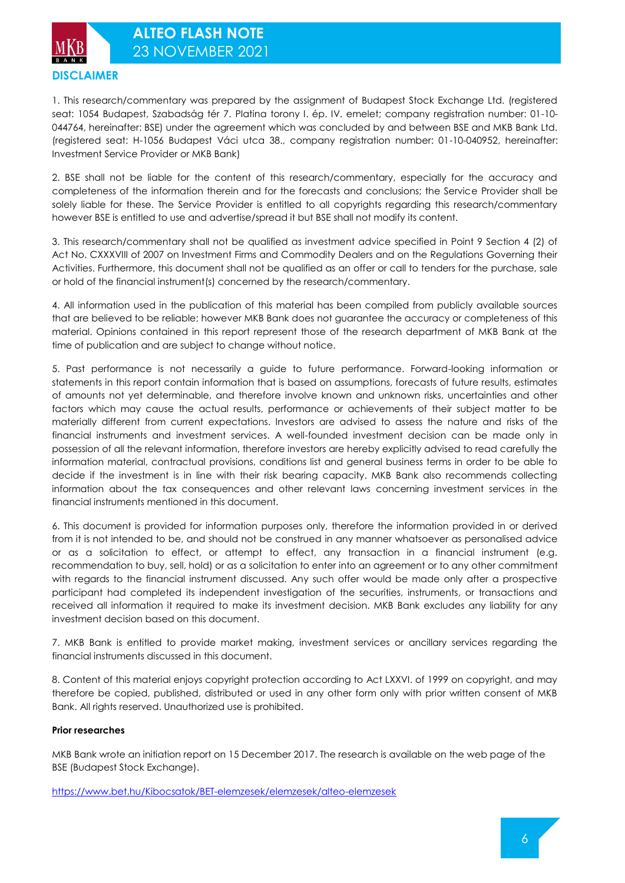**DISCLAIMER**

1. This research/commentary was prepared by the assignment of Budapest Stock Exchange Ltd. (registered seat: 1054 Budapest, Szabadság tér 7. Platina torony I. ép. IV. emelet; company registration number: 01-10- 044764, hereinafter: BSE) under the agreement which was concluded by and between BSE and MKB Bank Ltd. (registered seat: H-1056 Budapest Váci utca 38., company registration number: 01-10-040952, hereinafter: Investment Service Provider or MKB Bank)

2. BSE shall not be liable for the content of this research/commentary, especially for the accuracy and completeness of the information therein and for the forecasts and conclusions; the Service Provider shall be solely liable for these. The Service Provider is entitled to all copyrights regarding this research/commentary however BSE is entitled to use and advertise/spread it but BSE shall not modify its content.

3. This research/commentary shall not be qualified as investment advice specified in Point 9 Section 4 (2) of Act No. CXXXVIII of 2007 on Investment Firms and Commodity Dealers and on the Regulations Governing their Activities. Furthermore, this document shall not be qualified as an offer or call to tenders for the purchase, sale or hold of the financial instrument(s) concerned by the research/commentary.

4. All information used in the publication of this material has been compiled from publicly available sources that are believed to be reliable; however MKB Bank does not guarantee the accuracy or completeness of this material. Opinions contained in this report represent those of the research department of MKB Bank at the time of publication and are subject to change without notice.

5. Past performance is not necessarily a guide to future performance. Forward-looking information or statements in this report contain information that is based on assumptions, forecasts of future results, estimates of amounts not yet determinable, and therefore involve known and unknown risks, uncertainties and other factors which may cause the actual results, performance or achievements of their subject matter to be materially different from current expectations. Investors are advised to assess the nature and risks of the financial instruments and investment services. A well-founded investment decision can be made only in possession of all the relevant information, therefore investors are hereby explicitly advised to read carefully the information material, contractual provisions, conditions list and general business terms in order to be able to decide if the investment is in line with their risk bearing capacity. MKB Bank also recommends collecting information about the tax consequences and other relevant laws concerning investment services in the financial instruments mentioned in this document.

6. This document is provided for information purposes only, therefore the information provided in or derived from it is not intended to be, and should not be construed in any manner whatsoever as personalised advice or as a solicitation to effect, or attempt to effect, any transaction in a financial instrument (e.g. recommendation to buy, sell, hold) or as a solicitation to enter into an agreement or to any other commitment with regards to the financial instrument discussed. Any such offer would be made only after a prospective participant had completed its independent investigation of the securities, instruments, or transactions and received all information it required to make its investment decision. MKB Bank excludes any liability for any investment decision based on this document.

7. MKB Bank is entitled to provide market making, investment services or ancillary services regarding the financial instruments discussed in this document.

8. Content of this material enjoys copyright protection according to Act LXXVI. of 1999 on copyright, and may therefore be copied, published, distributed or used in any other form only with prior written consent of MKB Bank. All rights reserved. Unauthorized use is prohibited.

### **Prior researches**

MKB Bank wrote an initiation report on 15 December 2017. The research is available on the web page of the BSE (Budapest Stock Exchange).

<https://www.bet.hu/Kibocsatok/BET-elemzesek/elemzesek/alteo-elemzesek>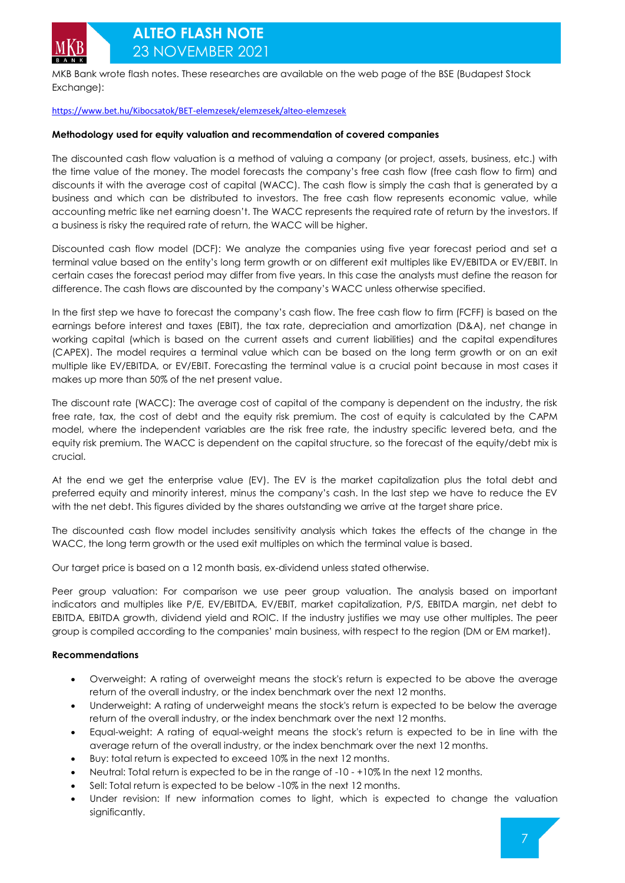MKB Bank wrote flash notes. These researches are available on the web page of the BSE (Budapest Stock Exchange):

#### <https://www.bet.hu/Kibocsatok/BET-elemzesek/elemzesek/alteo-elemzesek>

#### **Methodology used for equity valuation and recommendation of covered companies**

The discounted cash flow valuation is a method of valuing a company (or project, assets, business, etc.) with the time value of the money. The model forecasts the company's free cash flow (free cash flow to firm) and discounts it with the average cost of capital (WACC). The cash flow is simply the cash that is generated by a business and which can be distributed to investors. The free cash flow represents economic value, while accounting metric like net earning doesn't. The WACC represents the required rate of return by the investors. If a business is risky the required rate of return, the WACC will be higher.

Discounted cash flow model (DCF): We analyze the companies using five year forecast period and set a terminal value based on the entity's long term growth or on different exit multiples like EV/EBITDA or EV/EBIT. In certain cases the forecast period may differ from five years. In this case the analysts must define the reason for difference. The cash flows are discounted by the company's WACC unless otherwise specified.

In the first step we have to forecast the company's cash flow. The free cash flow to firm (FCFF) is based on the earnings before interest and taxes (EBIT), the tax rate, depreciation and amortization (D&A), net change in working capital (which is based on the current assets and current liabilities) and the capital expenditures (CAPEX). The model requires a terminal value which can be based on the long term growth or on an exit multiple like EV/EBITDA, or EV/EBIT. Forecasting the terminal value is a crucial point because in most cases it makes up more than 50% of the net present value.

The discount rate (WACC): The average cost of capital of the company is dependent on the industry, the risk free rate, tax, the cost of debt and the equity risk premium. The cost of equity is calculated by the CAPM model, where the independent variables are the risk free rate, the industry specific levered beta, and the equity risk premium. The WACC is dependent on the capital structure, so the forecast of the equity/debt mix is crucial.

At the end we get the enterprise value (EV). The EV is the market capitalization plus the total debt and preferred equity and minority interest, minus the company's cash. In the last step we have to reduce the EV with the net debt. This figures divided by the shares outstanding we arrive at the target share price.

The discounted cash flow model includes sensitivity analysis which takes the effects of the change in the WACC, the long term growth or the used exit multiples on which the terminal value is based.

Our target price is based on a 12 month basis, ex-dividend unless stated otherwise.

Peer group valuation: For comparison we use peer group valuation. The analysis based on important indicators and multiples like P/E, EV/EBITDA, EV/EBIT, market capitalization, P/S, EBITDA margin, net debt to EBITDA, EBITDA growth, dividend yield and ROIC. If the industry justifies we may use other multiples. The peer group is compiled according to the companies' main business, with respect to the region (DM or EM market).

#### **Recommendations**

- Overweight: A rating of overweight means the stock's return is expected to be above the average return of the overall industry, or the index benchmark over the next 12 months.
- Underweight: A rating of underweight means the stock's return is expected to be below the average return of the overall industry, or the index benchmark over the next 12 months.
- Equal-weight: A rating of equal-weight means the stock's return is expected to be in line with the average return of the overall industry, or the index benchmark over the next 12 months.
- Buy: total return is expected to exceed 10% in the next 12 months.
- Neutral: Total return is expected to be in the range of -10 +10% In the next 12 months.
- Sell: Total return is expected to be below -10% in the next 12 months.
- Under revision: If new information comes to light, which is expected to change the valuation significantly.